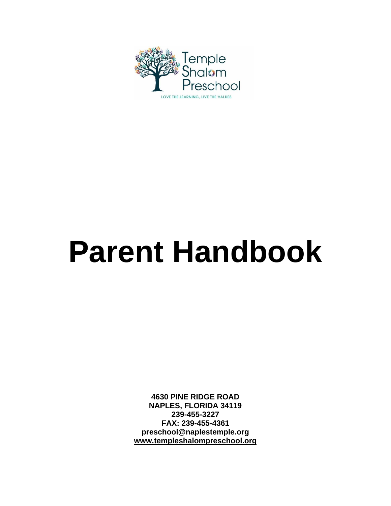

# **Parent Handbook**

**4630 PINE RIDGE ROAD NAPLES, FLORIDA 34119 239-455-3227 FAX: 239-455-4361 preschool@naplestemple.org [www.templeshalompreschool.org](http://www.templeshalompreschool.org/)**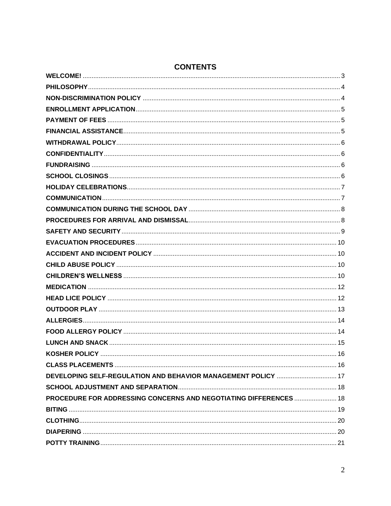<span id="page-1-0"></span>

| DEVELOPING SELF-REGULATION AND BEHAVIOR MANAGEMENT POLICY  17     |  |
|-------------------------------------------------------------------|--|
|                                                                   |  |
| PROCEDURE FOR ADDRESSING CONCERNS AND NEGOTIATING DIFFERENCES  18 |  |
|                                                                   |  |
|                                                                   |  |
|                                                                   |  |
|                                                                   |  |

## **CONTENTS**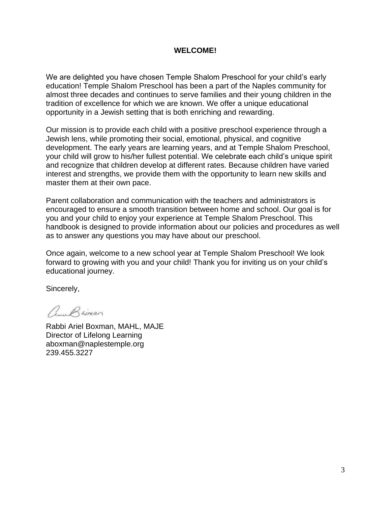#### **WELCOME!**

We are delighted you have chosen Temple Shalom Preschool for your child's early education! Temple Shalom Preschool has been a part of the Naples community for almost three decades and continues to serve families and their young children in the tradition of excellence for which we are known. We offer a unique educational opportunity in a Jewish setting that is both enriching and rewarding.

Our mission is to provide each child with a positive preschool experience through a Jewish lens, while promoting their social, emotional, physical, and cognitive development. The early years are learning years, and at Temple Shalom Preschool, your child will grow to his/her fullest potential. We celebrate each child's unique spirit and recognize that children develop at different rates. Because children have varied interest and strengths, we provide them with the opportunity to learn new skills and master them at their own pace.

Parent collaboration and communication with the teachers and administrators is encouraged to ensure a smooth transition between home and school. Our goal is for you and your child to enjoy your experience at Temple Shalom Preschool. This handbook is designed to provide information about our policies and procedures as well as to answer any questions you may have about our preschool.

Once again, welcome to a new school year at Temple Shalom Preschool! We look forward to growing with you and your child! Thank you for inviting us on your child's educational journey.

Sincerely,

Aune Baiman

Rabbi Ariel Boxman, MAHL, MAJE Director of Lifelong Learning aboxman@naplestemple.org 239.455.3227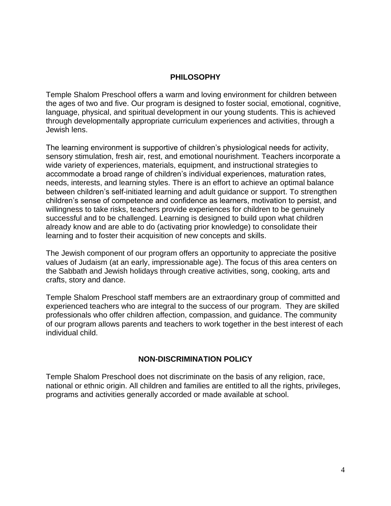#### **PHILOSOPHY**

<span id="page-3-0"></span>Temple Shalom Preschool offers a warm and loving environment for children between the ages of two and five. Our program is designed to foster social, emotional, cognitive, language, physical, and spiritual development in our young students. This is achieved through developmentally appropriate curriculum experiences and activities, through a Jewish lens.

The learning environment is supportive of children's physiological needs for activity, sensory stimulation, fresh air, rest, and emotional nourishment. Teachers incorporate a wide variety of experiences, materials, equipment, and instructional strategies to accommodate a broad range of children's individual experiences, maturation rates, needs, interests, and learning styles. There is an effort to achieve an optimal balance between children's self-initiated learning and adult guidance or support. To strengthen children's sense of competence and confidence as learners, motivation to persist, and willingness to take risks, teachers provide experiences for children to be genuinely successful and to be challenged. Learning is designed to build upon what children already know and are able to do (activating prior knowledge) to consolidate their learning and to foster their acquisition of new concepts and skills.

The Jewish component of our program offers an opportunity to appreciate the positive values of Judaism (at an early, impressionable age). The focus of this area centers on the Sabbath and Jewish holidays through creative activities, song, cooking, arts and crafts, story and dance.

Temple Shalom Preschool staff members are an extraordinary group of committed and experienced teachers who are integral to the success of our program. They are skilled professionals who offer children affection, compassion, and guidance. The community of our program allows parents and teachers to work together in the best interest of each individual child.

#### **NON-DISCRIMINATION POLICY**

<span id="page-3-1"></span>Temple Shalom Preschool does not discriminate on the basis of any religion, race, national or ethnic origin. All children and families are entitled to all the rights, privileges, programs and activities generally accorded or made available at school.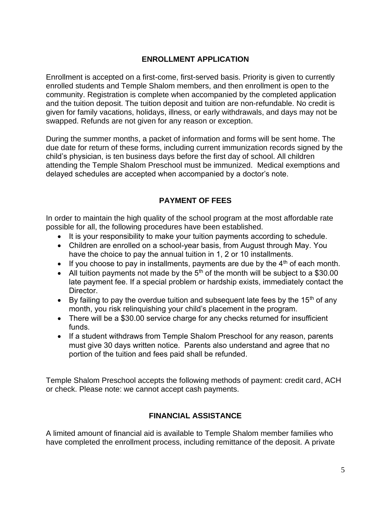## **ENROLLMENT APPLICATION**

<span id="page-4-0"></span>Enrollment is accepted on a first-come, first-served basis. Priority is given to currently enrolled students and Temple Shalom members, and then enrollment is open to the community. Registration is complete when accompanied by the completed application and the tuition deposit. The tuition deposit and tuition are non-refundable. No credit is given for family vacations, holidays, illness, or early withdrawals, and days may not be swapped. Refunds are not given for any reason or exception.

During the summer months, a packet of information and forms will be sent home. The due date for return of these forms, including current immunization records signed by the child's physician, is ten business days before the first day of school. All children attending the Temple Shalom Preschool must be immunized. Medical exemptions and delayed schedules are accepted when accompanied by a doctor's note.

## **PAYMENT OF FEES**

<span id="page-4-1"></span>In order to maintain the high quality of the school program at the most affordable rate possible for all, the following procedures have been established.

- It is your responsibility to make your tuition payments according to schedule.
- Children are enrolled on a school-year basis, from August through May. You have the choice to pay the annual tuition in 1, 2 or 10 installments.
- If you choose to pay in installments, payments are due by the  $4<sup>th</sup>$  of each month.
- All tuition payments not made by the  $5<sup>th</sup>$  of the month will be subject to a \$30.00 late payment fee. If a special problem or hardship exists, immediately contact the Director.
- By failing to pay the overdue tuition and subsequent late fees by the 15<sup>th</sup> of any month, you risk relinquishing your child's placement in the program.
- There will be a \$30.00 service charge for any checks returned for insufficient funds.
- If a student withdraws from Temple Shalom Preschool for any reason, parents must give 30 days written notice. Parents also understand and agree that no portion of the tuition and fees paid shall be refunded.

Temple Shalom Preschool accepts the following methods of payment: credit card, ACH or check. Please note: we cannot accept cash payments.

## **FINANCIAL ASSISTANCE**

<span id="page-4-2"></span>A limited amount of financial aid is available to Temple Shalom member families who have completed the enrollment process, including remittance of the deposit. A private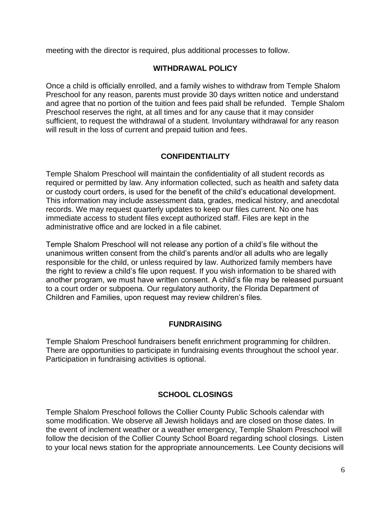<span id="page-5-0"></span>meeting with the director is required, plus additional processes to follow.

#### **WITHDRAWAL POLICY**

Once a child is officially enrolled, and a family wishes to withdraw from Temple Shalom Preschool for any reason, parents must provide 30 days written notice and understand and agree that no portion of the tuition and fees paid shall be refunded. Temple Shalom Preschool reserves the right, at all times and for any cause that it may consider sufficient, to request the withdrawal of a student. Involuntary withdrawal for any reason will result in the loss of current and prepaid tuition and fees.

## **CONFIDENTIALITY**

<span id="page-5-1"></span>Temple Shalom Preschool will maintain the confidentiality of all student records as required or permitted by law. Any information collected, such as health and safety data or custody court orders, is used for the benefit of the child's educational development. This information may include assessment data, grades, medical history, and anecdotal records. We may request quarterly updates to keep our files current. No one has immediate access to student files except authorized staff. Files are kept in the administrative office and are locked in a file cabinet.

Temple Shalom Preschool will not release any portion of a child's file without the unanimous written consent from the child's parents and/or all adults who are legally responsible for the child, or unless required by law. Authorized family members have the right to review a child's file upon request. If you wish information to be shared with another program, we must have written consent. A child's file may be released pursuant to a court order or subpoena. Our regulatory authority, the Florida Department of Children and Families, upon request may review children's files.

## **FUNDRAISING**

<span id="page-5-2"></span>Temple Shalom Preschool fundraisers benefit enrichment programming for children. There are opportunities to participate in fundraising events throughout the school year. Participation in fundraising activities is optional.

## **SCHOOL CLOSINGS**

<span id="page-5-3"></span>Temple Shalom Preschool follows the Collier County Public Schools calendar with some modification. We observe all Jewish holidays and are closed on those dates. In the event of inclement weather or a weather emergency, Temple Shalom Preschool will follow the decision of the Collier County School Board regarding school closings. Listen to your local news station for the appropriate announcements. Lee County decisions will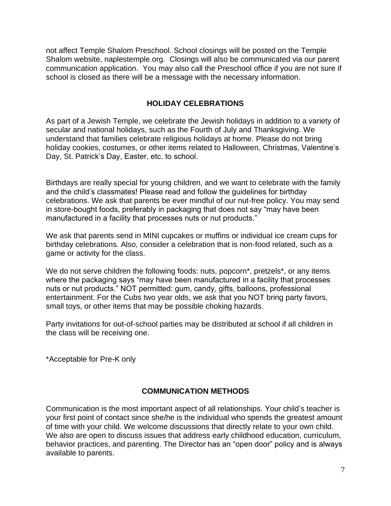not affect Temple Shalom Preschool. School closings will be posted on the Temple Shalom website, naplestemple.org. Closings will also be communicated via our parent communication application. You may also call the Preschool office if you are not sure if school is closed as there will be a message with the necessary information.

### **HOLIDAY CELEBRATIONS**

<span id="page-6-0"></span>As part of a Jewish Temple, we celebrate the Jewish holidays in addition to a variety of secular and national holidays, such as the Fourth of July and Thanksgiving. We understand that families celebrate religious holidays at home. Please do not bring holiday cookies, costumes, or other items related to Halloween, Christmas, Valentine's Day, St. Patrick's Day, Easter, etc. to school.

Birthdays are really special for young children, and we want to celebrate with the family and the child's classmates! Please read and follow the guidelines for birthday celebrations. We ask that parents be ever mindful of our nut-free policy. You may send in store-bought foods, preferably in packaging that does not say "may have been manufactured in a facility that processes nuts or nut products."

We ask that parents send in MINI cupcakes or muffins or individual ice cream cups for birthday celebrations. Also, consider a celebration that is non-food related, such as a game or activity for the class.

We do not serve children the following foods: nuts, popcorn<sup>\*</sup>, pretzels<sup>\*</sup>, or any items where the packaging says "may have been manufactured in a facility that processes nuts or nut products." NOT permitted: gum, candy, gifts, balloons, professional entertainment. For the Cubs two year olds, we ask that you NOT bring party favors, small toys, or other items that may be possible choking hazards.

Party invitations for out-of-school parties may be distributed at school if all children in the class will be receiving one.

\*Acceptable for Pre-K only

## **COMMUNICATION METHODS**

<span id="page-6-1"></span>Communication is the most important aspect of all relationships. Your child's teacher is your first point of contact since she/he is the individual who spends the greatest amount of time with your child. We welcome discussions that directly relate to your own child. We also are open to discuss issues that address early childhood education, curriculum, behavior practices, and parenting. The Director has an "open door" policy and is always available to parents.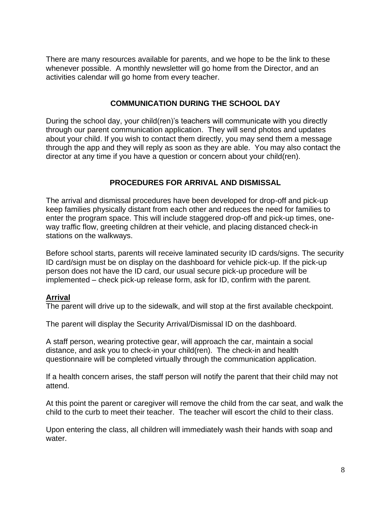There are many resources available for parents, and we hope to be the link to these whenever possible. A monthly newsletter will go home from the Director, and an activities calendar will go home from every teacher.

## **COMMUNICATION DURING THE SCHOOL DAY**

<span id="page-7-0"></span>During the school day, your child(ren)'s teachers will communicate with you directly through our parent communication application. They will send photos and updates about your child. If you wish to contact them directly, you may send them a message through the app and they will reply as soon as they are able. You may also contact the director at any time if you have a question or concern about your child(ren).

## **PROCEDURES FOR ARRIVAL AND DISMISSAL**

<span id="page-7-1"></span>The arrival and dismissal procedures have been developed for drop-off and pick-up keep families physically distant from each other and reduces the need for families to enter the program space. This will include staggered drop-off and pick-up times, oneway traffic flow, greeting children at their vehicle, and placing distanced check-in stations on the walkways.

Before school starts, parents will receive laminated security ID cards/signs. The security ID card/sign must be on display on the dashboard for vehicle pick-up. If the pick-up person does not have the ID card, our usual secure pick-up procedure will be implemented – check pick-up release form, ask for ID, confirm with the parent.

## **Arrival**

The parent will drive up to the sidewalk, and will stop at the first available checkpoint.

The parent will display the Security Arrival/Dismissal ID on the dashboard.

A staff person, wearing protective gear, will approach the car, maintain a social distance, and ask you to check-in your child(ren). The check-in and health questionnaire will be completed virtually through the communication application.

If a health concern arises, the staff person will notify the parent that their child may not attend.

At this point the parent or caregiver will remove the child from the car seat, and walk the child to the curb to meet their teacher. The teacher will escort the child to their class.

Upon entering the class, all children will immediately wash their hands with soap and water.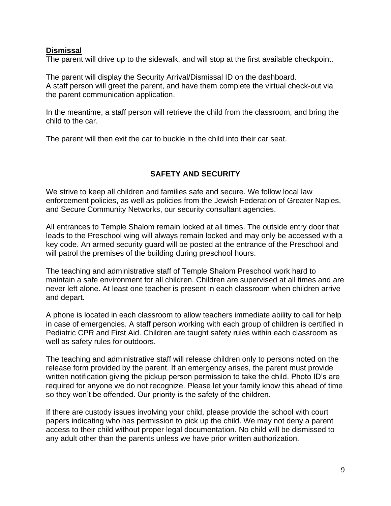#### **Dismissal**

The parent will drive up to the sidewalk, and will stop at the first available checkpoint.

The parent will display the Security Arrival/Dismissal ID on the dashboard. A staff person will greet the parent, and have them complete the virtual check-out via the parent communication application.

In the meantime, a staff person will retrieve the child from the classroom, and bring the child to the car.

The parent will then exit the car to buckle in the child into their car seat.

## **SAFETY AND SECURITY**

<span id="page-8-0"></span>We strive to keep all children and families safe and secure. We follow local law enforcement policies, as well as policies from the Jewish Federation of Greater Naples, and Secure Community Networks, our security consultant agencies.

All entrances to Temple Shalom remain locked at all times. The outside entry door that leads to the Preschool wing will always remain locked and may only be accessed with a key code. An armed security guard will be posted at the entrance of the Preschool and will patrol the premises of the building during preschool hours.

The teaching and administrative staff of Temple Shalom Preschool work hard to maintain a safe environment for all children. Children are supervised at all times and are never left alone. At least one teacher is present in each classroom when children arrive and depart.

A phone is located in each classroom to allow teachers immediate ability to call for help in case of emergencies. A staff person working with each group of children is certified in Pediatric CPR and First Aid. Children are taught safety rules within each classroom as well as safety rules for outdoors.

The teaching and administrative staff will release children only to persons noted on the release form provided by the parent. If an emergency arises, the parent must provide written notification giving the pickup person permission to take the child. Photo ID's are required for anyone we do not recognize. Please let your family know this ahead of time so they won't be offended. Our priority is the safety of the children.

If there are custody issues involving your child, please provide the school with court papers indicating who has permission to pick up the child. We may not deny a parent access to their child without proper legal documentation. No child will be dismissed to any adult other than the parents unless we have prior written authorization.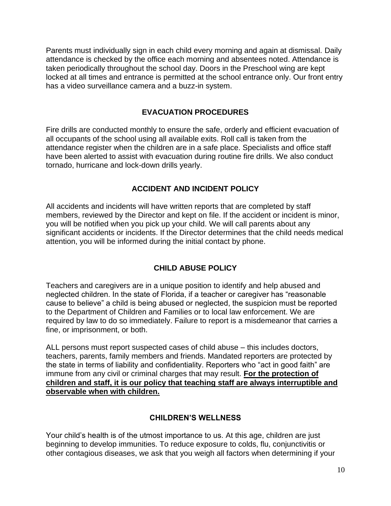Parents must individually sign in each child every morning and again at dismissal. Daily attendance is checked by the office each morning and absentees noted. Attendance is taken periodically throughout the school day. Doors in the Preschool wing are kept locked at all times and entrance is permitted at the school entrance only. Our front entry has a video surveillance camera and a buzz-in system.

## **EVACUATION PROCEDURES**

<span id="page-9-0"></span>Fire drills are conducted monthly to ensure the safe, orderly and efficient evacuation of all occupants of the school using all available exits. Roll call is taken from the attendance register when the children are in a safe place. Specialists and office staff have been alerted to assist with evacuation during routine fire drills. We also conduct tornado, hurricane and lock-down drills yearly.

## **ACCIDENT AND INCIDENT POLICY**

<span id="page-9-1"></span>All accidents and incidents will have written reports that are completed by staff members, reviewed by the Director and kept on file. If the accident or incident is minor, you will be notified when you pick up your child. We will call parents about any significant accidents or incidents. If the Director determines that the child needs medical attention, you will be informed during the initial contact by phone.

## **CHILD ABUSE POLICY**

<span id="page-9-2"></span>Teachers and caregivers are in a unique position to identify and help abused and neglected children. In the state of Florida, if a teacher or caregiver has "reasonable cause to believe" a child is being abused or neglected, the suspicion must be reported to the Department of Children and Families or to local law enforcement. We are required by law to do so immediately. Failure to report is a misdemeanor that carries a fine, or imprisonment, or both.

ALL persons must report suspected cases of child abuse – this includes doctors, teachers, parents, family members and friends. Mandated reporters are protected by the state in terms of liability and confidentiality. Reporters who "act in good faith" are immune from any civil or criminal charges that may result. **For the protection of children and staff, it is our policy that teaching staff are always interruptible and observable when with children.**

## **CHILDREN'S WELLNESS**

<span id="page-9-3"></span>Your child's health is of the utmost importance to us. At this age, children are just beginning to develop immunities. To reduce exposure to colds, flu, conjunctivitis or other contagious diseases, we ask that you weigh all factors when determining if your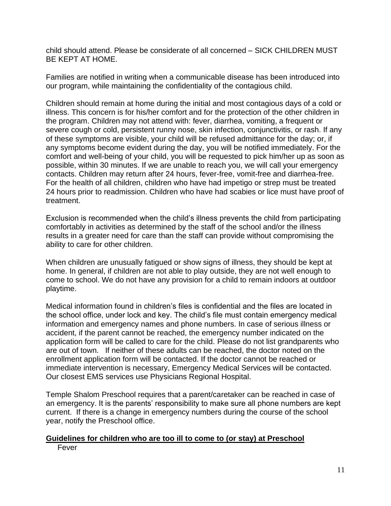child should attend. Please be considerate of all concerned – SICK CHILDREN MUST BE KEPT AT HOME.

Families are notified in writing when a communicable disease has been introduced into our program, while maintaining the confidentiality of the contagious child.

Children should remain at home during the initial and most contagious days of a cold or illness. This concern is for his/her comfort and for the protection of the other children in the program. Children may not attend with: fever, diarrhea, vomiting, a frequent or severe cough or cold, persistent runny nose, skin infection, conjunctivitis, or rash. If any of these symptoms are visible, your child will be refused admittance for the day; or, if any symptoms become evident during the day, you will be notified immediately. For the comfort and well-being of your child, you will be requested to pick him/her up as soon as possible, within 30 minutes. If we are unable to reach you, we will call your emergency contacts. Children may return after 24 hours, fever-free, vomit-free and diarrhea-free. For the health of all children, children who have had impetigo or strep must be treated 24 hours prior to readmission. Children who have had scabies or lice must have proof of treatment.

Exclusion is recommended when the child's illness prevents the child from participating comfortably in activities as determined by the staff of the school and/or the illness results in a greater need for care than the staff can provide without compromising the ability to care for other children.

When children are unusually fatigued or show signs of illness, they should be kept at home. In general, if children are not able to play outside, they are not well enough to come to school. We do not have any provision for a child to remain indoors at outdoor playtime.

Medical information found in children's files is confidential and the files are located in the school office, under lock and key. The child's file must contain emergency medical information and emergency names and phone numbers. In case of serious illness or accident, if the parent cannot be reached, the emergency number indicated on the application form will be called to care for the child. Please do not list grandparents who are out of town. If neither of these adults can be reached, the doctor noted on the enrollment application form will be contacted. If the doctor cannot be reached or immediate intervention is necessary, Emergency Medical Services will be contacted. Our closest EMS services use Physicians Regional Hospital.

Temple Shalom Preschool requires that a parent/caretaker can be reached in case of an emergency. It is the parents' responsibility to make sure all phone numbers are kept current. If there is a change in emergency numbers during the course of the school year, notify the Preschool office.

#### **Guidelines for children who are too ill to come to (or stay) at Preschool** Fever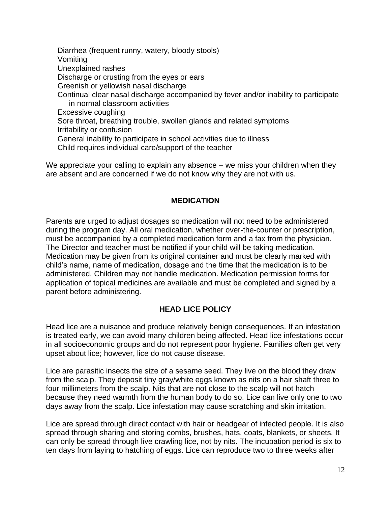Diarrhea (frequent runny, watery, bloody stools) Vomiting Unexplained rashes Discharge or crusting from the eyes or ears Greenish or yellowish nasal discharge Continual clear nasal discharge accompanied by fever and/or inability to participate in normal classroom activities Excessive coughing Sore throat, breathing trouble, swollen glands and related symptoms Irritability or confusion General inability to participate in school activities due to illness Child requires individual care/support of the teacher

We appreciate your calling to explain any absence – we miss your children when they are absent and are concerned if we do not know why they are not with us.

#### **MEDICATION**

<span id="page-11-0"></span>Parents are urged to adjust dosages so medication will not need to be administered during the program day. All oral medication, whether over-the-counter or prescription, must be accompanied by a completed medication form and a fax from the physician. The Director and teacher must be notified if your child will be taking medication. Medication may be given from its original container and must be clearly marked with child's name, name of medication, dosage and the time that the medication is to be administered. Children may not handle medication. Medication permission forms for application of topical medicines are available and must be completed and signed by a parent before administering.

## **HEAD LICE POLICY**

<span id="page-11-1"></span>Head lice are a nuisance and produce relatively benign consequences. If an infestation is treated early, we can avoid many children being affected. Head lice infestations occur in all socioeconomic groups and do not represent poor hygiene. Families often get very upset about lice; however, lice do not cause disease.

Lice are parasitic insects the size of a sesame seed. They live on the blood they draw from the scalp. They deposit tiny gray/white eggs known as nits on a hair shaft three to four millimeters from the scalp. Nits that are not close to the scalp will not hatch because they need warmth from the human body to do so. Lice can live only one to two days away from the scalp. Lice infestation may cause scratching and skin irritation.

Lice are spread through direct contact with hair or headgear of infected people. It is also spread through sharing and storing combs, brushes, hats, coats, blankets, or sheets. It can only be spread through live crawling lice, not by nits. The incubation period is six to ten days from laying to hatching of eggs. Lice can reproduce two to three weeks after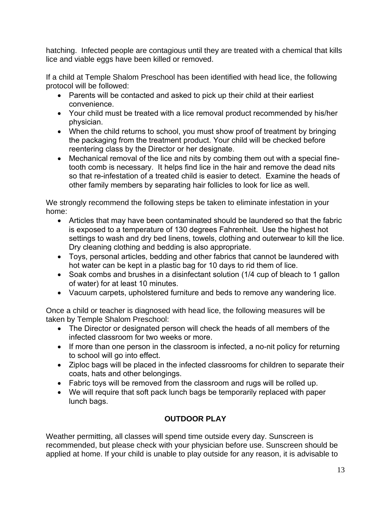hatching. Infected people are contagious until they are treated with a chemical that kills lice and viable eggs have been killed or removed.

If a child at Temple Shalom Preschool has been identified with head lice, the following protocol will be followed:

- Parents will be contacted and asked to pick up their child at their earliest convenience.
- Your child must be treated with a lice removal product recommended by his/her physician.
- When the child returns to school, you must show proof of treatment by bringing the packaging from the treatment product. Your child will be checked before reentering class by the Director or her designate.
- Mechanical removal of the lice and nits by combing them out with a special finetooth comb is necessary. It helps find lice in the hair and remove the dead nits so that re-infestation of a treated child is easier to detect. Examine the heads of other family members by separating hair follicles to look for lice as well.

We strongly recommend the following steps be taken to eliminate infestation in your home:

- Articles that may have been contaminated should be laundered so that the fabric is exposed to a temperature of 130 degrees Fahrenheit. Use the highest hot settings to wash and dry bed linens, towels, clothing and outerwear to kill the lice. Dry cleaning clothing and bedding is also appropriate.
- Toys, personal articles, bedding and other fabrics that cannot be laundered with hot water can be kept in a plastic bag for 10 days to rid them of lice.
- Soak combs and brushes in a disinfectant solution (1/4 cup of bleach to 1 gallon of water) for at least 10 minutes.
- Vacuum carpets, upholstered furniture and beds to remove any wandering lice.

Once a child or teacher is diagnosed with head lice, the following measures will be taken by Temple Shalom Preschool:

- The Director or designated person will check the heads of all members of the infected classroom for two weeks or more.
- If more than one person in the classroom is infected, a no-nit policy for returning to school will go into effect.
- Ziploc bags will be placed in the infected classrooms for children to separate their coats, hats and other belongings.
- Fabric toys will be removed from the classroom and rugs will be rolled up.
- We will require that soft pack lunch bags be temporarily replaced with paper lunch bags.

## **OUTDOOR PLAY**

<span id="page-12-0"></span>Weather permitting, all classes will spend time outside every day. Sunscreen is recommended, but please check with your physician before use. Sunscreen should be applied at home. If your child is unable to play outside for any reason, it is advisable to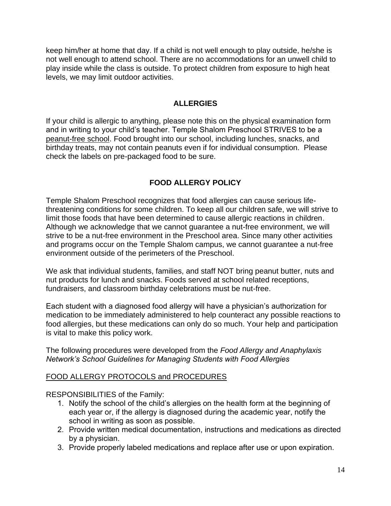keep him/her at home that day. If a child is not well enough to play outside, he/she is not well enough to attend school. There are no accommodations for an unwell child to play inside while the class is outside. To protect children from exposure to high heat levels, we may limit outdoor activities.

## **ALLERGIES**

<span id="page-13-0"></span>If your child is allergic to anything, please note this on the physical examination form and in writing to your child's teacher. Temple Shalom Preschool STRIVES to be a peanut-free school. Food brought into our school, including lunches, snacks, and birthday treats, may not contain peanuts even if for individual consumption. Please check the labels on pre-packaged food to be sure.

## **FOOD ALLERGY POLICY**

<span id="page-13-1"></span>Temple Shalom Preschool recognizes that food allergies can cause serious lifethreatening conditions for some children. To keep all our children safe, we will strive to limit those foods that have been determined to cause allergic reactions in children. Although we acknowledge that we cannot guarantee a nut-free environment, we will strive to be a nut-free environment in the Preschool area. Since many other activities and programs occur on the Temple Shalom campus, we cannot guarantee a nut-free environment outside of the perimeters of the Preschool.

We ask that individual students, families, and staff NOT bring peanut butter, nuts and nut products for lunch and snacks. Foods served at school related receptions, fundraisers, and classroom birthday celebrations must be nut-free.

Each student with a diagnosed food allergy will have a physician's authorization for medication to be immediately administered to help counteract any possible reactions to food allergies, but these medications can only do so much. Your help and participation is vital to make this policy work.

The following procedures were developed from the *Food Allergy and Anaphylaxis Network's School Guidelines for Managing Students with Food Allergies*

## FOOD ALLERGY PROTOCOLS and PROCEDURES

RESPONSIBILITIES of the Family:

- 1. Notify the school of the child's allergies on the health form at the beginning of each year or, if the allergy is diagnosed during the academic year, notify the school in writing as soon as possible.
- 2. Provide written medical documentation, instructions and medications as directed by a physician.
- 3. Provide properly labeled medications and replace after use or upon expiration.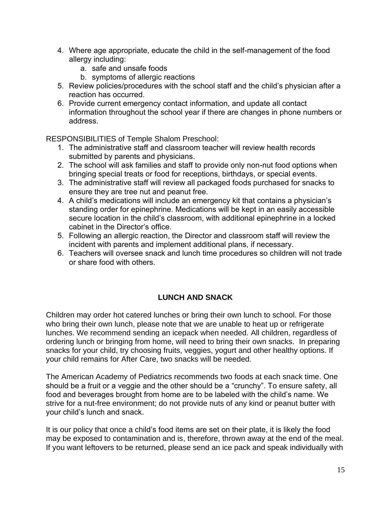- 4. Where age appropriate, educate the child in the self-management of the food allergy including:
	- a. safe and unsafe foods
	- b. symptoms of allergic reactions
- 5. Review policies/procedures with the school staff and the child's physician after a reaction has occurred.
- 6. Provide current emergency contact information, and update all contact information throughout the school year if there are changes in phone numbers or address.

RESPONSIBILITIES of Temple Shalom Preschool:

- 1. The administrative staff and classroom teacher will review health records submitted by parents and physicians.
- 2. The school will ask families and staff to provide only non-nut food options when bringing special treats or food for receptions, birthdays, or special events.
- 3. The administrative staff will review all packaged foods purchased for snacks to ensure they are tree nut and peanut free.
- 4. A child's medications will include an emergency kit that contains a physician's standing order for epinephrine. Medications will be kept in an easily accessible secure location in the child's classroom, with additional epinephrine in a locked cabinet in the Director's office.
- 5. Following an allergic reaction, the Director and classroom staff will review the incident with parents and implement additional plans, if necessary.
- <span id="page-14-0"></span>6. Teachers will oversee snack and lunch time procedures so children will not trade or share food with others.

## **LUNCH AND SNACK**

Children may order hot catered lunches or bring their own lunch to school. For those who bring their own lunch, please note that we are unable to heat up or refrigerate lunches. We recommend sending an icepack when needed. All children, regardless of ordering lunch or bringing from home, will need to bring their own snacks. In preparing snacks for your child, try choosing fruits, veggies, yogurt and other healthy options. If your child remains for After Care, two snacks will be needed.

The American Academy of Pediatrics recommends two foods at each snack time. One should be a fruit or a veggie and the other should be a "crunchy". To ensure safety, all food and beverages brought from home are to be labeled with the child's name. We strive for a nut-free environment; do not provide nuts of any kind or peanut butter with your child's lunch and snack.

It is our policy that once a child's food items are set on their plate, it is likely the food may be exposed to contamination and is, therefore, thrown away at the end of the meal. If you want leftovers to be returned, please send an ice pack and speak individually with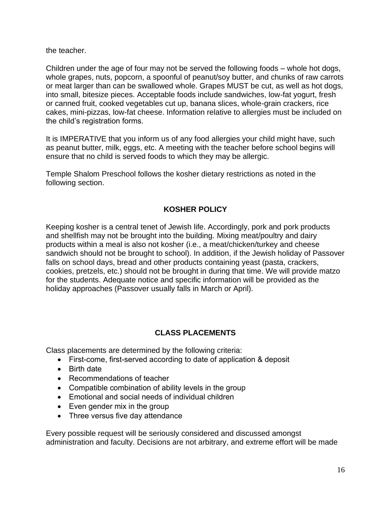the teacher.

Children under the age of four may not be served the following foods – whole hot dogs, whole grapes, nuts, popcorn, a spoonful of peanut/soy butter, and chunks of raw carrots or meat larger than can be swallowed whole. Grapes MUST be cut, as well as hot dogs, into small, bitesize pieces. Acceptable foods include sandwiches, low-fat yogurt, fresh or canned fruit, cooked vegetables cut up, banana slices, whole-grain crackers, rice cakes, mini-pizzas, low-fat cheese. Information relative to allergies must be included on the child's registration forms.

It is IMPERATIVE that you inform us of any food allergies your child might have, such as peanut butter, milk, eggs, etc. A meeting with the teacher before school begins will ensure that no child is served foods to which they may be allergic.

Temple Shalom Preschool follows the kosher dietary restrictions as noted in the following section.

## **KOSHER POLICY**

<span id="page-15-0"></span>Keeping kosher is a central tenet of Jewish life. Accordingly, pork and pork products and shellfish may not be brought into the building. Mixing meat/poultry and dairy products within a meal is also not kosher (i.e., a meat/chicken/turkey and cheese sandwich should not be brought to school). In addition, if the Jewish holiday of Passover falls on school days, bread and other products containing yeast (pasta, crackers, cookies, pretzels, etc.) should not be brought in during that time. We will provide matzo for the students. Adequate notice and specific information will be provided as the holiday approaches (Passover usually falls in March or April).

## **CLASS PLACEMENTS**

<span id="page-15-1"></span>Class placements are determined by the following criteria:

- First-come, first-served according to date of application & deposit
- Birth date
- Recommendations of teacher
- Compatible combination of ability levels in the group
- Emotional and social needs of individual children
- Even gender mix in the group
- Three versus five day attendance

Every possible request will be seriously considered and discussed amongst administration and faculty. Decisions are not arbitrary, and extreme effort will be made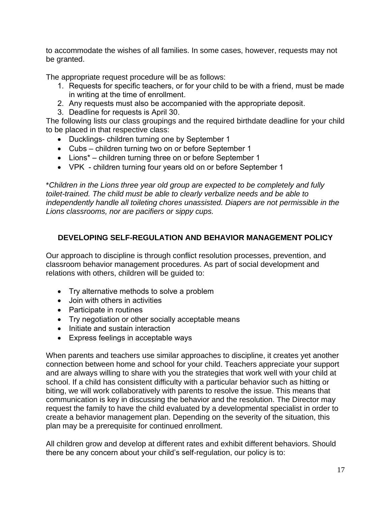to accommodate the wishes of all families. In some cases, however, requests may not be granted.

The appropriate request procedure will be as follows:

- 1. Requests for specific teachers, or for your child to be with a friend, must be made in writing at the time of enrollment.
- 2. Any requests must also be accompanied with the appropriate deposit.
- 3. Deadline for requests is April 30.

The following lists our class groupings and the required birthdate deadline for your child to be placed in that respective class:

- Ducklings- children turning one by September 1
- Cubs children turning two on or before September 1
- Lions\* children turning three on or before September 1
- VPK children turning four years old on or before September 1

\**Children in the Lions three year old group are expected to be completely and fully toilet-trained. The child must be able to clearly verbalize needs and be able to independently handle all toileting chores unassisted. Diapers are not permissible in the Lions classrooms, nor are pacifiers or sippy cups.*

## <span id="page-16-0"></span>**DEVELOPING SELF-REGULATION AND BEHAVIOR MANAGEMENT POLICY**

Our approach to discipline is through conflict resolution processes, prevention, and classroom behavior management procedures. As part of social development and relations with others, children will be guided to:

- Try alternative methods to solve a problem
- Join with others in activities
- Participate in routines
- Try negotiation or other socially acceptable means
- Initiate and sustain interaction
- Express feelings in acceptable ways

When parents and teachers use similar approaches to discipline, it creates yet another connection between home and school for your child. Teachers appreciate your support and are always willing to share with you the strategies that work well with your child at school. If a child has consistent difficulty with a particular behavior such as hitting or biting, we will work collaboratively with parents to resolve the issue. This means that communication is key in discussing the behavior and the resolution. The Director may request the family to have the child evaluated by a developmental specialist in order to create a behavior management plan. Depending on the severity of the situation, this plan may be a prerequisite for continued enrollment.

All children grow and develop at different rates and exhibit different behaviors. Should there be any concern about your child's self-regulation, our policy is to: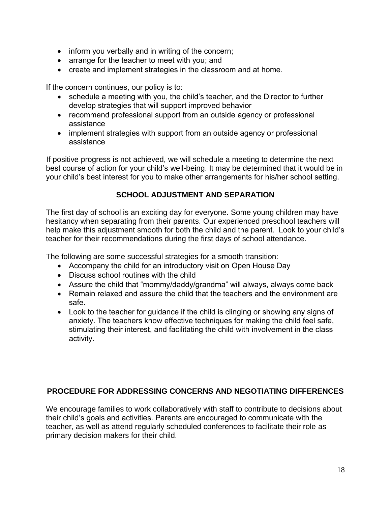- inform you verbally and in writing of the concern;
- arrange for the teacher to meet with you; and
- create and implement strategies in the classroom and at home.

If the concern continues, our policy is to:

- schedule a meeting with you, the child's teacher, and the Director to further develop strategies that will support improved behavior
- recommend professional support from an outside agency or professional assistance
- implement strategies with support from an outside agency or professional assistance

If positive progress is not achieved, we will schedule a meeting to determine the next best course of action for your child's well-being. It may be determined that it would be in your child's best interest for you to make other arrangements for his/her school setting.

## **SCHOOL ADJUSTMENT AND SEPARATION**

<span id="page-17-0"></span>The first day of school is an exciting day for everyone. Some young children may have hesitancy when separating from their parents. Our experienced preschool teachers will help make this adjustment smooth for both the child and the parent. Look to your child's teacher for their recommendations during the first days of school attendance.

The following are some successful strategies for a smooth transition:

- Accompany the child for an introductory visit on Open House Day
- Discuss school routines with the child
- Assure the child that "mommy/daddy/grandma" will always, always come back
- Remain relaxed and assure the child that the teachers and the environment are safe.
- Look to the teacher for guidance if the child is clinging or showing any signs of anxiety. The teachers know effective techniques for making the child feel safe, stimulating their interest, and facilitating the child with involvement in the class activity.

## <span id="page-17-1"></span>**PROCEDURE FOR ADDRESSING CONCERNS AND NEGOTIATING DIFFERENCES**

We encourage families to work collaboratively with staff to contribute to decisions about their child's goals and activities. Parents are encouraged to communicate with the teacher, as well as attend regularly scheduled conferences to facilitate their role as primary decision makers for their child.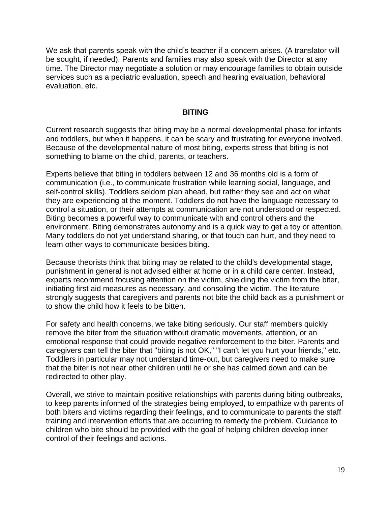We ask that parents speak with the child's teacher if a concern arises. (A translator will be sought, if needed). Parents and families may also speak with the Director at any time. The Director may negotiate a solution or may encourage families to obtain outside services such as a pediatric evaluation, speech and hearing evaluation, behavioral evaluation, etc.

#### **BITING**

<span id="page-18-0"></span>Current research suggests that biting may be a normal developmental phase for infants and toddlers, but when it happens, it can be scary and frustrating for everyone involved. Because of the developmental nature of most biting, experts stress that biting is not something to blame on the child, parents, or teachers.

Experts believe that biting in toddlers between 12 and 36 months old is a form of communication (i.e., to communicate frustration while learning social, language, and self-control skills). Toddlers seldom plan ahead, but rather they see and act on what they are experiencing at the moment. Toddlers do not have the language necessary to control a situation, or their attempts at communication are not understood or respected. Biting becomes a powerful way to communicate with and control others and the environment. Biting demonstrates autonomy and is a quick way to get a toy or attention. Many toddlers do not yet understand sharing, or that touch can hurt, and they need to learn other ways to communicate besides biting.

Because theorists think that biting may be related to the child's developmental stage, punishment in general is not advised either at home or in a child care center. Instead, experts recommend focusing attention on the victim, shielding the victim from the biter, initiating first aid measures as necessary, and consoling the victim. The literature strongly suggests that caregivers and parents not bite the child back as a punishment or to show the child how it feels to be bitten.

For safety and health concerns, we take biting seriously. Our staff members quickly remove the biter from the situation without dramatic movements, attention, or an emotional response that could provide negative reinforcement to the biter. Parents and caregivers can tell the biter that "biting is not OK," "I can't let you hurt your friends," etc. Toddlers in particular may not understand time-out, but caregivers need to make sure that the biter is not near other children until he or she has calmed down and can be redirected to other play.

Overall, we strive to maintain positive relationships with parents during biting outbreaks, to keep parents informed of the strategies being employed, to empathize with parents of both biters and victims regarding their feelings, and to communicate to parents the staff training and intervention efforts that are occurring to remedy the problem. Guidance to children who bite should be provided with the goal of helping children develop inner control of their feelings and actions.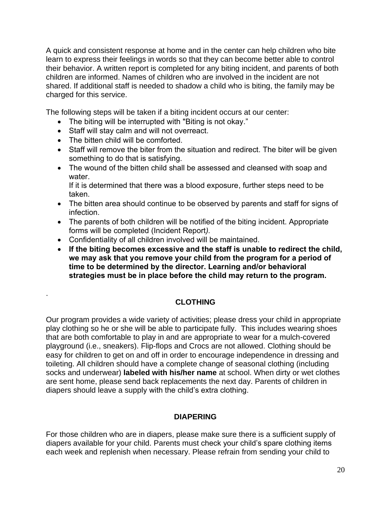A quick and consistent response at home and in the center can help children who bite learn to express their feelings in words so that they can become better able to control their behavior. A written report is completed for any biting incident, and parents of both children are informed. Names of children who are involved in the incident are not shared. If additional staff is needed to shadow a child who is biting, the family may be charged for this service.

The following steps will be taken if a biting incident occurs at our center:

- The biting will be interrupted with "Biting is not okay."
- Staff will stay calm and will not overreact.
- The bitten child will be comforted.

<span id="page-19-0"></span>.

- Staff will remove the biter from the situation and redirect. The biter will be given something to do that is satisfying.
- The wound of the bitten child shall be assessed and cleansed with soap and water.

If it is determined that there was a blood exposure, further steps need to be taken.

- The bitten area should continue to be observed by parents and staff for signs of infection.
- The parents of both children will be notified of the biting incident. Appropriate forms will be completed (Incident Report*).*
- Confidentiality of all children involved will be maintained.
- **If the biting becomes excessive and the staff is unable to redirect the child, we may ask that you remove your child from the program for a period of time to be determined by the director. Learning and/or behavioral strategies must be in place before the child may return to the program.**

## **CLOTHING**

Our program provides a wide variety of activities; please dress your child in appropriate play clothing so he or she will be able to participate fully. This includes wearing shoes that are both comfortable to play in and are appropriate to wear for a mulch-covered playground (i.e., sneakers). Flip-flops and Crocs are not allowed. Clothing should be easy for children to get on and off in order to encourage independence in dressing and toileting. All children should have a complete change of seasonal clothing (including socks and underwear) **labeled with his/her name** at school. When dirty or wet clothes are sent home, please send back replacements the next day. Parents of children in diapers should leave a supply with the child's extra clothing.

## **DIAPERING**

<span id="page-19-1"></span>For those children who are in diapers, please make sure there is a sufficient supply of diapers available for your child. Parents must check your child's spare clothing items each week and replenish when necessary. Please refrain from sending your child to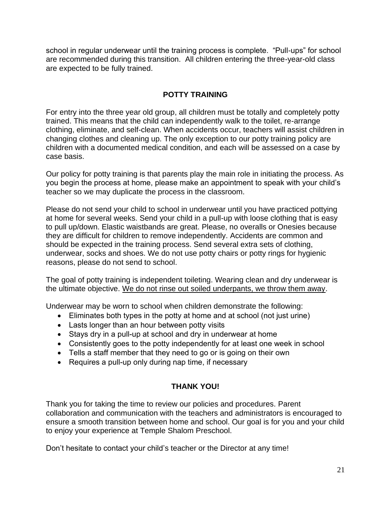school in regular underwear until the training process is complete. "Pull-ups" for school are recommended during this transition. All children entering the three-year-old class are expected to be fully trained.

## **POTTY TRAINING**

<span id="page-20-0"></span>For entry into the three year old group, all children must be totally and completely potty trained. This means that the child can independently walk to the toilet, re-arrange clothing, eliminate, and self-clean. When accidents occur, teachers will assist children in changing clothes and cleaning up. The only exception to our potty training policy are children with a documented medical condition, and each will be assessed on a case by case basis.

Our policy for potty training is that parents play the main role in initiating the process. As you begin the process at home, please make an appointment to speak with your child's teacher so we may duplicate the process in the classroom.

Please do not send your child to school in underwear until you have practiced pottying at home for several weeks. Send your child in a pull-up with loose clothing that is easy to pull up/down. Elastic waistbands are great. Please, no overalls or Onesies because they are difficult for children to remove independently. Accidents are common and should be expected in the training process. Send several extra sets of clothing, underwear, socks and shoes. We do not use potty chairs or potty rings for hygienic reasons, please do not send to school.

The goal of potty training is independent toileting. Wearing clean and dry underwear is the ultimate objective. We do not rinse out soiled underpants, we throw them away.

Underwear may be worn to school when children demonstrate the following:

- Eliminates both types in the potty at home and at school (not just urine)
- Lasts longer than an hour between potty visits
- Stays dry in a pull-up at school and dry in underwear at home
- Consistently goes to the potty independently for at least one week in school
- Tells a staff member that they need to go or is going on their own
- Requires a pull-up only during nap time, if necessary

## **THANK YOU!**

Thank you for taking the time to review our policies and procedures. Parent collaboration and communication with the teachers and administrators is encouraged to ensure a smooth transition between home and school. Our goal is for you and your child to enjoy your experience at Temple Shalom Preschool.

Don't hesitate to contact your child's teacher or the Director at any time!